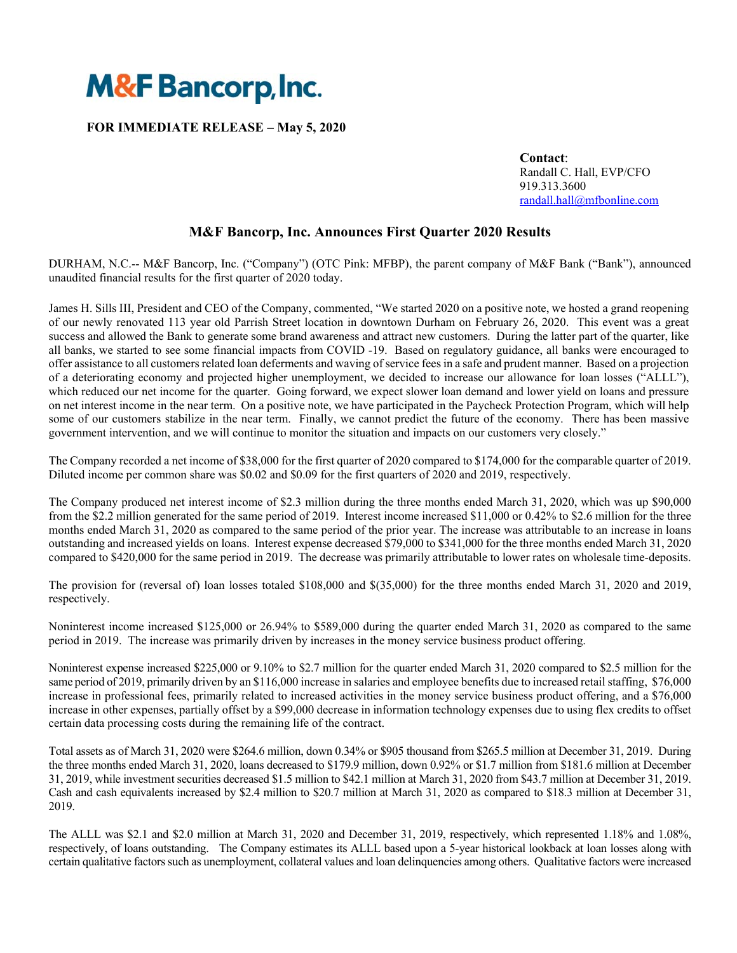

### **FOR IMMEDIATE RELEASE – May 5, 2020**

 **Contact**: Randall C. Hall, EVP/CFO 919.313.3600 randall.hall@mfbonline.com

# **M&F Bancorp, Inc. Announces First Quarter 2020 Results**

DURHAM, N.C.-- M&F Bancorp, Inc. ("Company") (OTC Pink: MFBP), the parent company of M&F Bank ("Bank"), announced unaudited financial results for the first quarter of 2020 today.

James H. Sills III, President and CEO of the Company, commented, "We started 2020 on a positive note, we hosted a grand reopening of our newly renovated 113 year old Parrish Street location in downtown Durham on February 26, 2020. This event was a great success and allowed the Bank to generate some brand awareness and attract new customers. During the latter part of the quarter, like all banks, we started to see some financial impacts from COVID -19. Based on regulatory guidance, all banks were encouraged to offer assistance to all customers related loan deferments and waving of service fees in a safe and prudent manner. Based on a projection of a deteriorating economy and projected higher unemployment, we decided to increase our allowance for loan losses ("ALLL"), which reduced our net income for the quarter. Going forward, we expect slower loan demand and lower yield on loans and pressure on net interest income in the near term. On a positive note, we have participated in the Paycheck Protection Program, which will help some of our customers stabilize in the near term. Finally, we cannot predict the future of the economy. There has been massive government intervention, and we will continue to monitor the situation and impacts on our customers very closely."

The Company recorded a net income of \$38,000 for the first quarter of 2020 compared to \$174,000 for the comparable quarter of 2019. Diluted income per common share was \$0.02 and \$0.09 for the first quarters of 2020 and 2019, respectively.

The Company produced net interest income of \$2.3 million during the three months ended March 31, 2020, which was up \$90,000 from the \$2.2 million generated for the same period of 2019. Interest income increased \$11,000 or 0.42% to \$2.6 million for the three months ended March 31, 2020 as compared to the same period of the prior year. The increase was attributable to an increase in loans outstanding and increased yields on loans. Interest expense decreased \$79,000 to \$341,000 for the three months ended March 31, 2020 compared to \$420,000 for the same period in 2019. The decrease was primarily attributable to lower rates on wholesale time-deposits.

The provision for (reversal of) loan losses totaled \$108,000 and \$(35,000) for the three months ended March 31, 2020 and 2019, respectively.

Noninterest income increased \$125,000 or 26.94% to \$589,000 during the quarter ended March 31, 2020 as compared to the same period in 2019. The increase was primarily driven by increases in the money service business product offering.

Noninterest expense increased \$225,000 or 9.10% to \$2.7 million for the quarter ended March 31, 2020 compared to \$2.5 million for the same period of 2019, primarily driven by an \$116,000 increase in salaries and employee benefits due to increased retail staffing, \$76,000 increase in professional fees, primarily related to increased activities in the money service business product offering, and a \$76,000 increase in other expenses, partially offset by a \$99,000 decrease in information technology expenses due to using flex credits to offset certain data processing costs during the remaining life of the contract.

Total assets as of March 31, 2020 were \$264.6 million, down 0.34% or \$905 thousand from \$265.5 million at December 31, 2019. During the three months ended March 31, 2020, loans decreased to \$179.9 million, down 0.92% or \$1.7 million from \$181.6 million at December 31, 2019, while investment securities decreased \$1.5 million to \$42.1 million at March 31, 2020 from \$43.7 million at December 31, 2019. Cash and cash equivalents increased by \$2.4 million to \$20.7 million at March 31, 2020 as compared to \$18.3 million at December 31, 2019.

The ALLL was \$2.1 and \$2.0 million at March 31, 2020 and December 31, 2019, respectively, which represented 1.18% and 1.08%, respectively, of loans outstanding. The Company estimates its ALLL based upon a 5-year historical lookback at loan losses along with certain qualitative factors such as unemployment, collateral values and loan delinquencies among others. Qualitative factors were increased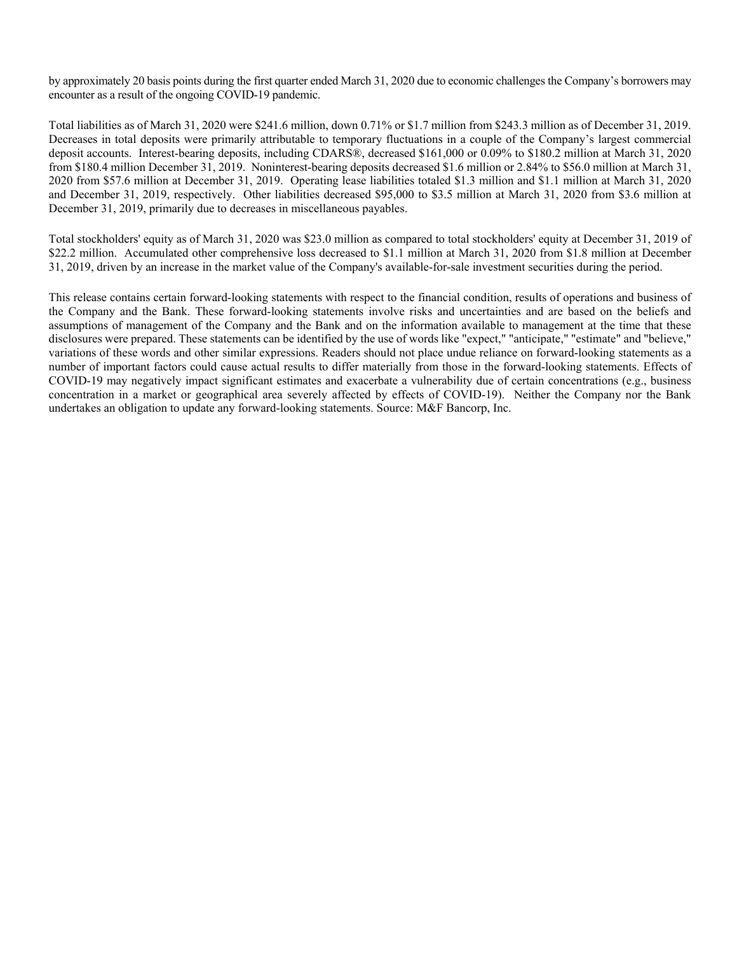by approximately 20 basis points during the first quarter ended March 31, 2020 due to economic challenges the Company's borrowers may encounter as a result of the ongoing COVID-19 pandemic.

Total liabilities as of March 31, 2020 were \$241.6 million, down 0.71% or \$1.7 million from \$243.3 million as of December 31, 2019. Decreases in total deposits were primarily attributable to temporary fluctuations in a couple of the Company's largest commercial deposit accounts. Interest-bearing deposits, including CDARS®, decreased \$161,000 or 0.09% to \$180.2 million at March 31, 2020 from \$180.4 million December 31, 2019. Noninterest-bearing deposits decreased \$1.6 million or 2.84% to \$56.0 million at March 31, 2020 from \$57.6 million at December 31, 2019. Operating lease liabilities totaled \$1.3 million and \$1.1 million at March 31, 2020 and December 31, 2019, respectively. Other liabilities decreased \$95,000 to \$3.5 million at March 31, 2020 from \$3.6 million at December 31, 2019, primarily due to decreases in miscellaneous payables.

Total stockholders' equity as of March 31, 2020 was \$23.0 million as compared to total stockholders' equity at December 31, 2019 of \$22.2 million. Accumulated other comprehensive loss decreased to \$1.1 million at March 31, 2020 from \$1.8 million at December 31, 2019, driven by an increase in the market value of the Company's available-for-sale investment securities during the period.

This release contains certain forward-looking statements with respect to the financial condition, results of operations and business of the Company and the Bank. These forward-looking statements involve risks and uncertainties and are based on the beliefs and assumptions of management of the Company and the Bank and on the information available to management at the time that these disclosures were prepared. These statements can be identified by the use of words like "expect," "anticipate," "estimate" and "believe," variations of these words and other similar expressions. Readers should not place undue reliance on forward-looking statements as a number of important factors could cause actual results to differ materially from those in the forward-looking statements. Effects of COVID-19 may negatively impact significant estimates and exacerbate a vulnerability due of certain concentrations (e.g., business concentration in a market or geographical area severely affected by effects of COVID-19). Neither the Company nor the Bank undertakes an obligation to update any forward-looking statements. Source: M&F Bancorp, Inc.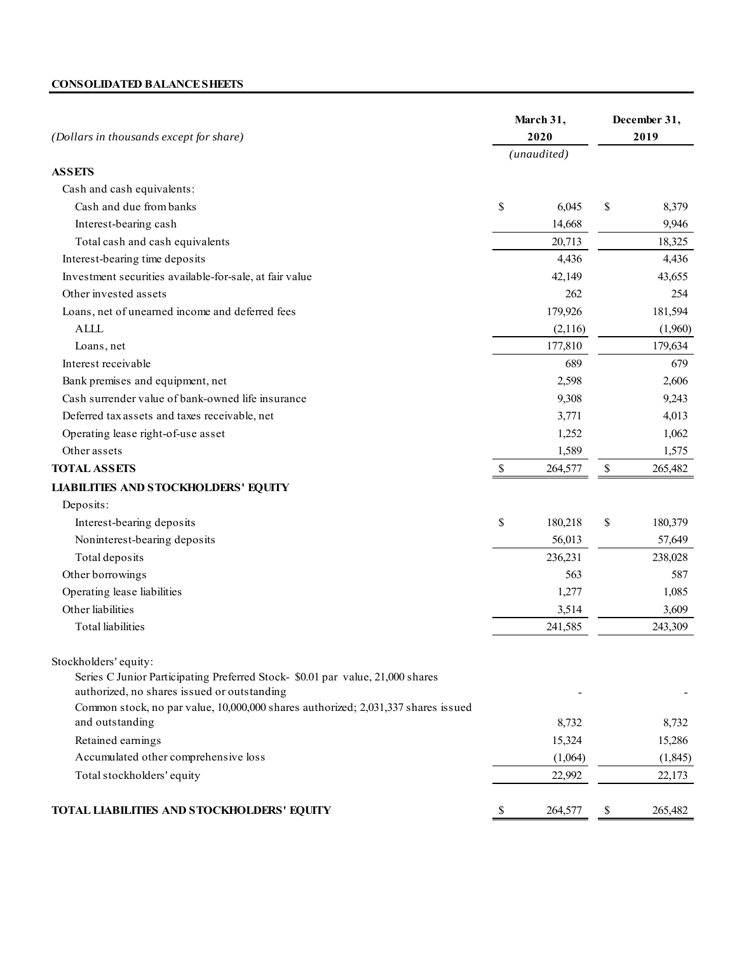## **CONSOLIDATED BALANCE SHEETS**

| (Dollars in thousands except for share)                                                                                       |    | March 31,<br>2020 |                                   | December 31,<br>2019 |  |
|-------------------------------------------------------------------------------------------------------------------------------|----|-------------------|-----------------------------------|----------------------|--|
|                                                                                                                               |    | (unaudited)       |                                   |                      |  |
| <b>ASSETS</b>                                                                                                                 |    |                   |                                   |                      |  |
| Cash and cash equivalents:                                                                                                    |    |                   |                                   |                      |  |
| Cash and due from banks                                                                                                       | \$ | 6,045             | \$                                | 8,379                |  |
| Interest-bearing cash                                                                                                         |    | 14,668            |                                   | 9,946                |  |
| Total cash and cash equivalents                                                                                               |    | 20,713            |                                   | 18,325               |  |
| Interest-bearing time deposits                                                                                                |    | 4,436             |                                   | 4,436                |  |
| Investment securities available-for-sale, at fair value                                                                       |    | 42,149            |                                   | 43,655               |  |
| Other invested assets                                                                                                         |    | 262               |                                   | 254                  |  |
| Loans, net of unearned income and deferred fees                                                                               |    | 179,926           |                                   | 181,594              |  |
| <b>ALLL</b>                                                                                                                   |    | (2,116)           |                                   | (1,960)              |  |
| Loans, net                                                                                                                    |    | 177,810           |                                   | 179,634              |  |
| Interest receivable                                                                                                           |    | 689               |                                   | 679                  |  |
| Bank premises and equipment, net                                                                                              |    | 2,598             |                                   | 2,606                |  |
| Cash surrender value of bank-owned life insurance                                                                             |    | 9,308             |                                   | 9,243                |  |
| Deferred tax assets and taxes receivable, net                                                                                 |    | 3,771             |                                   | 4,013                |  |
| Operating lease right-of-use asset                                                                                            |    | 1,252             |                                   | 1,062                |  |
| Other assets                                                                                                                  |    | 1,589             |                                   | 1,575                |  |
| <b>TOTAL ASSETS</b>                                                                                                           | \$ | 264,577           | $\mathbb{S}% _{t}\left( t\right)$ | 265,482              |  |
| <b>LIABILITIES AND STOCKHOLDERS' EQUITY</b>                                                                                   |    |                   |                                   |                      |  |
| Deposits:                                                                                                                     |    |                   |                                   |                      |  |
| Interest-bearing deposits                                                                                                     | \$ | 180,218           | \$                                | 180,379              |  |
| Noninterest-bearing deposits                                                                                                  |    | 56,013            |                                   | 57,649               |  |
| Total deposits                                                                                                                |    | 236,231           |                                   | 238,028              |  |
| Other borrowings                                                                                                              |    | 563               |                                   | 587                  |  |
| Operating lease liabilities                                                                                                   |    | 1,277             |                                   | 1,085                |  |
| Other liabilities                                                                                                             |    | 3,514             |                                   | 3,609                |  |
| <b>Total</b> liabilities                                                                                                      |    | 241,585           |                                   | 243,309              |  |
| Stockholders' equity:                                                                                                         |    |                   |                                   |                      |  |
| Series C Junior Participating Preferred Stock- \$0.01 par value, 21,000 shares<br>authorized, no shares issued or outstanding |    |                   |                                   |                      |  |
| Common stock, no par value, 10,000,000 shares authorized; 2,031,337 shares issued                                             |    |                   |                                   |                      |  |
| and outstanding                                                                                                               |    | 8,732             |                                   | 8,732                |  |
| Retained earnings                                                                                                             |    | 15,324            |                                   | 15,286               |  |
| Accumulated other comprehensive loss                                                                                          |    | (1,064)           |                                   | (1, 845)             |  |
| Total stockholders' equity                                                                                                    |    | 22,992            |                                   | 22,173               |  |
| TOTAL LIABILITIES AND STOCKHOLDERS' EQUITY                                                                                    | \$ | 264,577           | \$                                | 265,482              |  |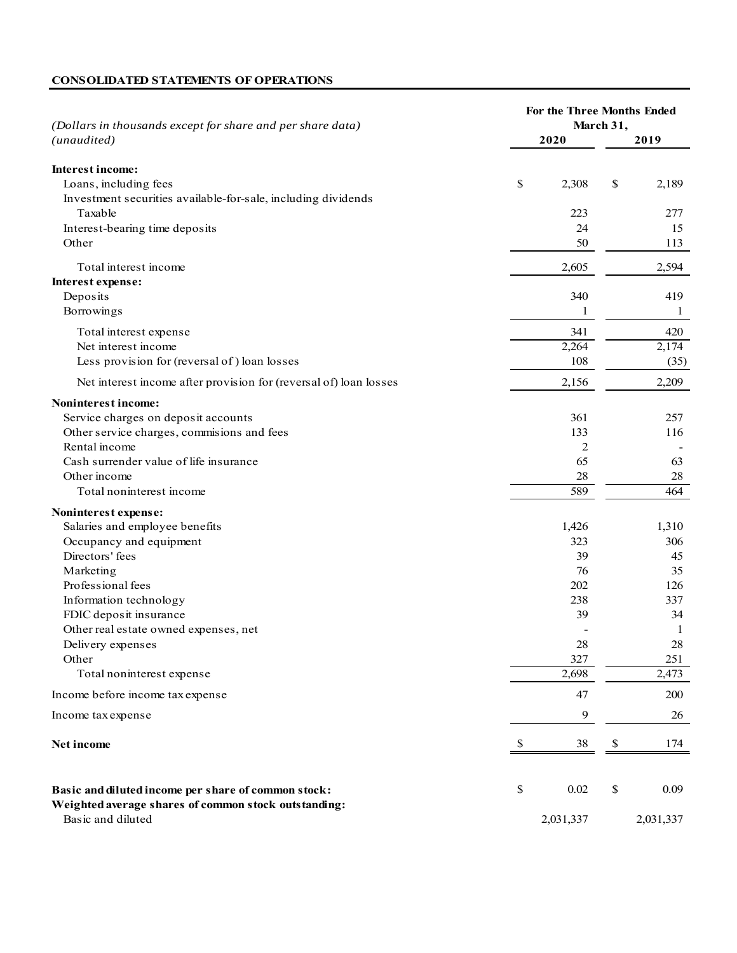## **CONSOLIDATED STATEMENTS OF OPERATIONS**

| (Dollars in thousands except for share and per share data)                                                                                                                               |    | For the Three Months Ended<br>March 31, |      |                                 |  |
|------------------------------------------------------------------------------------------------------------------------------------------------------------------------------------------|----|-----------------------------------------|------|---------------------------------|--|
| (unaudited)                                                                                                                                                                              |    | 2020                                    |      | 2019                            |  |
| Interest income:<br>Loans, including fees                                                                                                                                                | \$ | 2,308                                   | \$   | 2,189                           |  |
| Investment securities available-for-sale, including dividends<br>Taxable<br>Interest-bearing time deposits<br>Other                                                                      |    | 223<br>24<br>50                         |      | 277<br>15<br>113                |  |
| Total interest income<br>Interest expense:<br>Deposits<br>Borrowings                                                                                                                     |    | 2,605<br>340<br>1                       |      | 2,594<br>419<br>1               |  |
| Total interest expense<br>Net interest income<br>Less provision for (reversal of) loan losses                                                                                            |    | 341<br>2,264<br>108                     |      | 420<br>2,174<br>(35)            |  |
| Net interest income after provision for (reversal of) loan losses<br>Noninterest income:                                                                                                 |    | 2,156                                   |      | 2,209                           |  |
| Service charges on deposit accounts<br>Other service charges, commisions and fees<br>Rental income<br>Cash surrender value of life insurance<br>Other income<br>Total noninterest income |    | 361<br>133<br>2<br>65<br>28<br>589      |      | 257<br>116<br>63<br>28<br>464   |  |
| Noninterest expense:<br>Salaries and employee benefits                                                                                                                                   |    | 1,426                                   |      | 1,310                           |  |
| Occupancy and equipment<br>Directors' fees<br>Marketing<br>Professional fees                                                                                                             |    | 323<br>39<br>76<br>202                  |      | 306<br>45<br>35<br>126          |  |
| Information technology<br>FDIC deposit insurance<br>Other real estate owned expenses, net<br>Delivery expenses                                                                           |    | 238<br>39<br>28                         |      | 337<br>34<br>$\mathbf{1}$<br>28 |  |
| Other<br>Total noninterest expense                                                                                                                                                       |    | 327<br>2,698                            |      | 251<br>2,473                    |  |
| Income before income tax expense                                                                                                                                                         |    | 47                                      |      | 200                             |  |
| Income tax expense                                                                                                                                                                       |    | 9                                       |      | 26                              |  |
| Net income                                                                                                                                                                               | -S | 38                                      | $\$$ | 174                             |  |
| Basic and diluted income per share of common stock:<br>Weighted average shares of common stock outstanding:<br>Basic and diluted                                                         | \$ | 0.02<br>2,031,337                       | $\$$ | 0.09<br>2,031,337               |  |